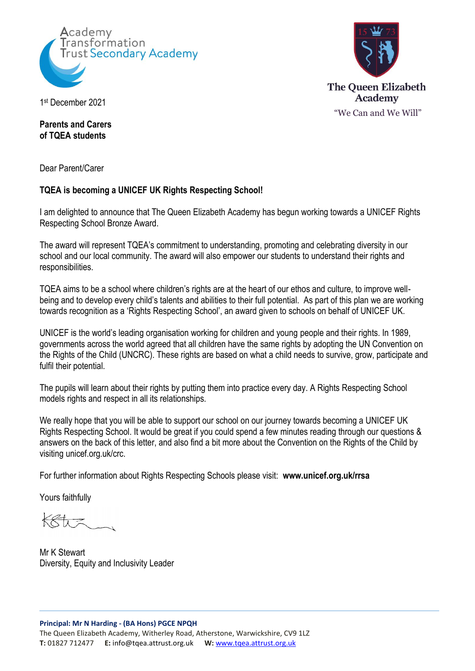



1 st December 2021

**Parents and Carers of TQEA students**

Dear Parent/Carer

## **TQEA is becoming a UNICEF UK Rights Respecting School!**

I am delighted to announce that The Queen Elizabeth Academy has begun working towards a UNICEF Rights Respecting School Bronze Award.

The award will represent TQEA's commitment to understanding, promoting and celebrating diversity in our school and our local community. The award will also empower our students to understand their rights and responsibilities.

TQEA aims to be a school where children's rights are at the heart of our ethos and culture, to improve wellbeing and to develop every child's talents and abilities to their full potential. As part of this plan we are working towards recognition as a 'Rights Respecting School', an award given to schools on behalf of UNICEF UK.

UNICEF is the world's leading organisation working for children and young people and their rights. In 1989, governments across the world agreed that all children have the same rights by adopting the UN Convention on the Rights of the Child (UNCRC). These rights are based on what a child needs to survive, grow, participate and fulfil their potential.

The pupils will learn about their rights by putting them into practice every day. A Rights Respecting School models rights and respect in all its relationships.

We really hope that you will be able to support our school on our journey towards becoming a UNICEF UK Rights Respecting School. It would be great if you could spend a few minutes reading through our questions & answers on the back of this letter, and also find a bit more about the Convention on the Rights of the Child by visiting unicef.org.uk/crc.

For further information about Rights Respecting Schools please visit: **www.unicef.org.uk/rrsa**

Yours faithfully

Mr K Stewart Diversity, Equity and Inclusivity Leader